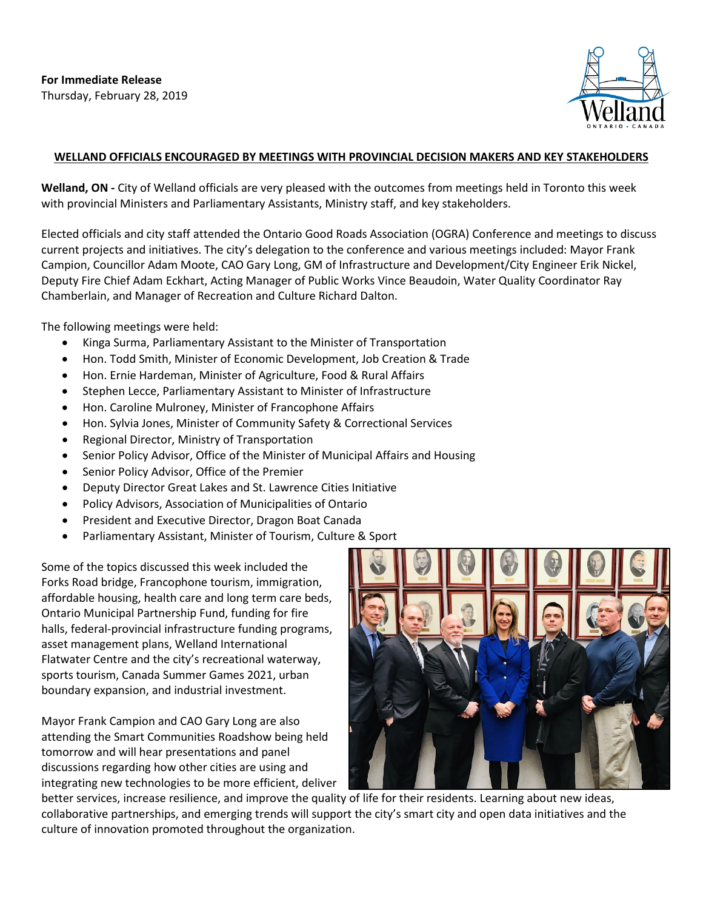

## **WELLAND OFFICIALS ENCOURAGED BY MEETINGS WITH PROVINCIAL DECISION MAKERS AND KEY STAKEHOLDERS**

**Welland, ON -** City of Welland officials are very pleased with the outcomes from meetings held in Toronto this week with provincial Ministers and Parliamentary Assistants, Ministry staff, and key stakeholders.

Elected officials and city staff attended the Ontario Good Roads Association (OGRA) Conference and meetings to discuss current projects and initiatives. The city's delegation to the conference and various meetings included: Mayor Frank Campion, Councillor Adam Moote, CAO Gary Long, GM of Infrastructure and Development/City Engineer Erik Nickel, Deputy Fire Chief Adam Eckhart, Acting Manager of Public Works Vince Beaudoin, Water Quality Coordinator Ray Chamberlain, and Manager of Recreation and Culture Richard Dalton.

The following meetings were held:

- Kinga Surma, Parliamentary Assistant to the Minister of Transportation
- Hon. Todd Smith, Minister of Economic Development, Job Creation & Trade
- Hon. Ernie Hardeman, Minister of Agriculture, Food & Rural Affairs
- Stephen Lecce, Parliamentary Assistant to Minister of Infrastructure
- Hon. Caroline Mulroney, Minister of Francophone Affairs
- Hon. Sylvia Jones, Minister of Community Safety & Correctional Services
- Regional Director, Ministry of Transportation
- Senior Policy Advisor, Office of the Minister of Municipal Affairs and Housing
- Senior Policy Advisor, Office of the Premier
- Deputy Director Great Lakes and St. Lawrence Cities Initiative
- Policy Advisors, Association of Municipalities of Ontario
- President and Executive Director, Dragon Boat Canada
- Parliamentary Assistant, Minister of Tourism, Culture & Sport

Some of the topics discussed this week included the Forks Road bridge, Francophone tourism, immigration, affordable housing, health care and long term care beds, Ontario Municipal Partnership Fund, funding for fire halls, federal-provincial infrastructure funding programs, asset management plans, Welland International Flatwater Centre and the city's recreational waterway, sports tourism, Canada Summer Games 2021, urban boundary expansion, and industrial investment.

Mayor Frank Campion and CAO Gary Long are also attending the Smart Communities Roadshow being held tomorrow and will hear presentations and panel discussions regarding how other cities are using and integrating new technologies to be more efficient, deliver



better services, increase resilience, and improve the quality of life for their residents. Learning about new ideas, collaborative partnerships, and emerging trends will support the city's smart city and open data initiatives and the culture of innovation promoted throughout the organization.